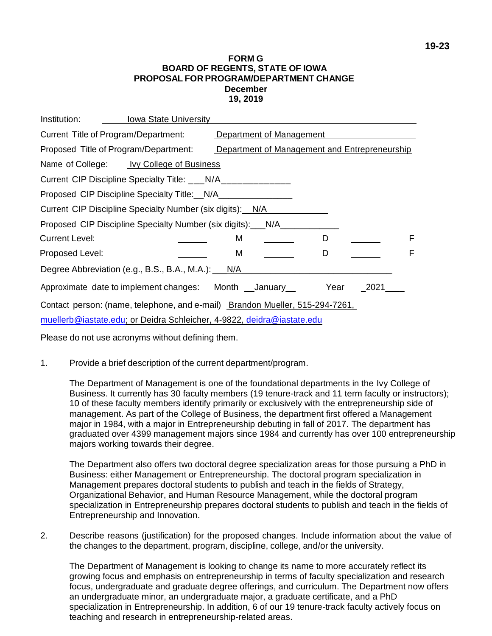## **FORM G BOARD OF REGENTS, STATE OF IOWA PROPOSAL FOR PROGRAM/DEPARTMENT CHANGE December 19, 2019**

| Institution:                                                                                                                                           | <b>Iowa State University</b>                             |                          |  |      |      |   |  |  |  |
|--------------------------------------------------------------------------------------------------------------------------------------------------------|----------------------------------------------------------|--------------------------|--|------|------|---|--|--|--|
| Current Title of Program/Department:                                                                                                                   |                                                          | Department of Management |  |      |      |   |  |  |  |
| Proposed Title of Program/Department:                                                                                                                  | Department of Management and Entrepreneurship            |                          |  |      |      |   |  |  |  |
|                                                                                                                                                        | Name of College: Ivy College of Business                 |                          |  |      |      |   |  |  |  |
|                                                                                                                                                        | Current CIP Discipline Specialty Title: ___N/A__________ |                          |  |      |      |   |  |  |  |
| Proposed CIP Discipline Specialty Title: N/A                                                                                                           |                                                          |                          |  |      |      |   |  |  |  |
| Current CIP Discipline Specialty Number (six digits): N/A                                                                                              |                                                          |                          |  |      |      |   |  |  |  |
| Proposed CIP Discipline Specialty Number (six digits): N/A                                                                                             |                                                          |                          |  |      |      |   |  |  |  |
| <b>Current Level:</b>                                                                                                                                  |                                                          | M                        |  | D    |      | F |  |  |  |
| Proposed Level:                                                                                                                                        |                                                          | M                        |  | D    |      | F |  |  |  |
| Degree Abbreviation (e.g., B.S., B.A., M.A.): N/A                                                                                                      |                                                          |                          |  |      |      |   |  |  |  |
|                                                                                                                                                        | Approximate date to implement changes: Month __January__ |                          |  | Year | 2021 |   |  |  |  |
| Contact person: (name, telephone, and e-mail) Brandon Mueller, 515-294-7261,<br>muellerb@iastate.edu; or Deidra Schleicher, 4-9822, deidra@iastate.edu |                                                          |                          |  |      |      |   |  |  |  |

Please do not use acronyms without defining them.

1. Provide a brief description of the current department/program.

The Department of Management is one of the foundational departments in the Ivy College of Business. It currently has 30 faculty members (19 tenure-track and 11 term faculty or instructors); 10 of these faculty members identify primarily or exclusively with the entrepreneurship side of management. As part of the College of Business, the department first offered a Management major in 1984, with a major in Entrepreneurship debuting in fall of 2017. The department has graduated over 4399 management majors since 1984 and currently has over 100 entrepreneurship majors working towards their degree.

The Department also offers two doctoral degree specialization areas for those pursuing a PhD in Business: either Management or Entrepreneurship. The doctoral program specialization in Management prepares doctoral students to publish and teach in the fields of Strategy, Organizational Behavior, and Human Resource Management, while the doctoral program specialization in Entrepreneurship prepares doctoral students to publish and teach in the fields of Entrepreneurship and Innovation.

2. Describe reasons (justification) for the proposed changes. Include information about the value of the changes to the department, program, discipline, college, and/or the university.

The Department of Management is looking to change its name to more accurately reflect its growing focus and emphasis on entrepreneurship in terms of faculty specialization and research focus, undergraduate and graduate degree offerings, and curriculum. The Department now offers an undergraduate minor, an undergraduate major, a graduate certificate, and a PhD specialization in Entrepreneurship. In addition, 6 of our 19 tenure-track faculty actively focus on teaching and research in entrepreneurship-related areas.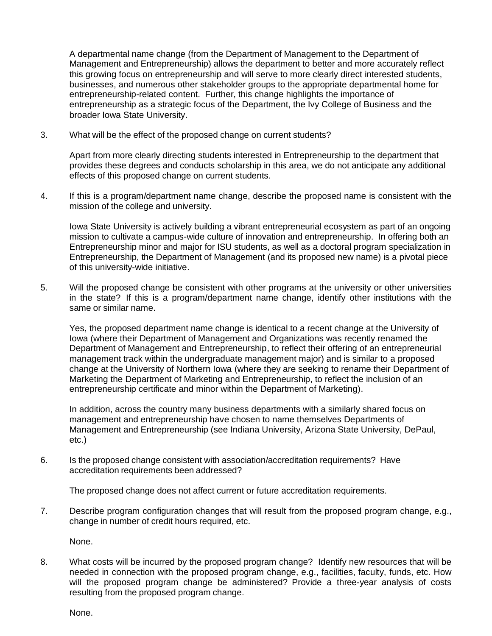A departmental name change (from the Department of Management to the Department of Management and Entrepreneurship) allows the department to better and more accurately reflect this growing focus on entrepreneurship and will serve to more clearly direct interested students, businesses, and numerous other stakeholder groups to the appropriate departmental home for entrepreneurship-related content. Further, this change highlights the importance of entrepreneurship as a strategic focus of the Department, the Ivy College of Business and the broader Iowa State University.

3. What will be the effect of the proposed change on current students?

Apart from more clearly directing students interested in Entrepreneurship to the department that provides these degrees and conducts scholarship in this area, we do not anticipate any additional effects of this proposed change on current students.

4. If this is a program/department name change, describe the proposed name is consistent with the mission of the college and university.

Iowa State University is actively building a vibrant entrepreneurial ecosystem as part of an ongoing mission to cultivate a campus-wide culture of innovation and entrepreneurship. In offering both an Entrepreneurship minor and major for ISU students, as well as a doctoral program specialization in Entrepreneurship, the Department of Management (and its proposed new name) is a pivotal piece of this university-wide initiative.

5. Will the proposed change be consistent with other programs at the university or other universities in the state? If this is a program/department name change, identify other institutions with the same or similar name.

Yes, the proposed department name change is identical to a recent change at the University of Iowa (where their Department of Management and Organizations was recently renamed the Department of Management and Entrepreneurship, to reflect their offering of an entrepreneurial management track within the undergraduate management major) and is similar to a proposed change at the University of Northern Iowa (where they are seeking to rename their Department of Marketing the Department of Marketing and Entrepreneurship, to reflect the inclusion of an entrepreneurship certificate and minor within the Department of Marketing).

In addition, across the country many business departments with a similarly shared focus on management and entrepreneurship have chosen to name themselves Departments of Management and Entrepreneurship (see Indiana University, Arizona State University, DePaul, etc.)

6. Is the proposed change consistent with association/accreditation requirements? Have accreditation requirements been addressed?

The proposed change does not affect current or future accreditation requirements.

7. Describe program configuration changes that will result from the proposed program change, e.g., change in number of credit hours required, etc.

None.

8. What costs will be incurred by the proposed program change? Identify new resources that will be needed in connection with the proposed program change, e.g., facilities, faculty, funds, etc. How will the proposed program change be administered? Provide a three-year analysis of costs resulting from the proposed program change.

None.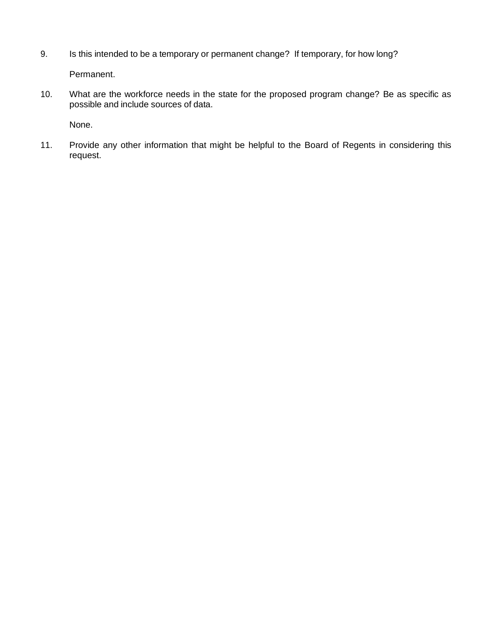9. Is this intended to be a temporary or permanent change? If temporary, for how long?

Permanent.

10. What are the workforce needs in the state for the proposed program change? Be as specific as possible and include sources of data.

None.

11. Provide any other information that might be helpful to the Board of Regents in considering this request.